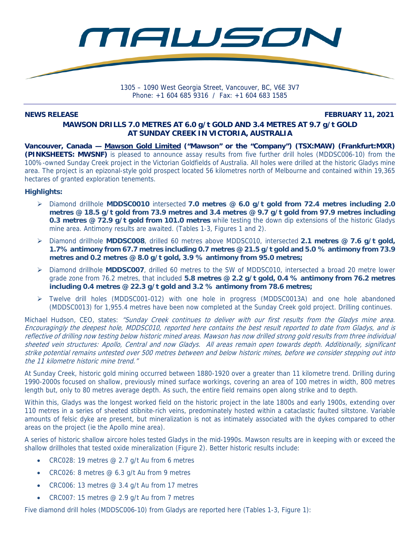

Phone: +1 604 685 9316 / Fax: +1 604 683 1585

# **NEWS RELEASE FEBRUARY 11, 2021**

## **MAWSON DRILLS 7.0 METRES AT 6.0 g/t GOLD AND 3.4 METRES AT 9.7 g/t GOLD AT SUNDAY CREEK IN VICTORIA, AUSTRALIA**

**Vancouver, Canada — Mawson Gold Limited ("Mawson" or the "Company") (TSX:MAW) (Frankfurt:MXR) (PINKSHEETS: MWSNF)** is pleased to announce assay results from five further drill holes (MDDSC006-10) from the 100%-owned Sunday Creek project in the Victorian Goldfields of Australia. All holes were drilled at the historic Gladys mine area. The project is an epizonal-style gold prospect located 56 kilometres north of Melbourne and contained within 19,365 hectares of granted exploration tenements.

### **Highlights:**

- Diamond drillhole **MDDSC0010** intersected **7.0 metres @ 6.0 g/t gold from 72.4 metres including 2.0 metres @ 18.5 g/t gold from 73.9 metres and 3.4 metres @ 9.7 g/t gold from 97.9 metres including 0.3 metres @ 72.9 g/t gold from 101.0 metres** while testing the down dip extensions of the historic Gladys mine area. Antimony results are awaited. (Tables 1-3, Figures 1 and 2).
- Diamond drillhole **MDDSC008**, drilled 60 metres above MDDSC010, intersected **2.1 metres @ 7.6 g/t gold, 1.7% antimony from 67.7 metres including 0.7 metres @ 21.5 g/t gold and 5.0 % antimony from 73.9 metres and 0.2 metres @ 8.0 g/t gold, 3.9 % antimony from 95.0 metres;**
- Diamond drillhole **MDDSC007**, drilled 60 metres to the SW of MDDSC010, intersected a broad 20 metre lower grade zone from 76.2 metres, that included **5.8 metres @ 2.2 g/t gold, 0.4 % antimony from 76.2 metres including 0.4 metres @ 22.3 g/t gold and 3.2 % antimony from 78.6 metres;**
- Twelve drill holes (MDDSC001-012) with one hole in progress (MDDSC0013A) and one hole abandoned (MDDSC0013) for 1,955.4 metres have been now completed at the Sunday Creek gold project. Drilling continues.

Michael Hudson, CEO, states: "Sunday Creek continues to deliver with our first results from the Gladys mine area. Encouragingly the deepest hole, MDDSC010, reported here contains the best result reported to date from Gladys, and is reflective of drilling now testing below historic mined areas. Mawson has now drilled strong gold results from three individual sheeted vein structures: Apollo, Central and now Gladys. All areas remain open towards depth. Additionally, significant strike potential remains untested over 500 metres between and below historic mines, before we consider stepping out into the 11 kilometre historic mine trend."

At Sunday Creek, historic gold mining occurred between 1880-1920 over a greater than 11 kilometre trend. Drilling during 1990-2000s focused on shallow, previously mined surface workings, covering an area of 100 metres in width, 800 metres length but, only to 80 metres average depth. As such, the entire field remains open along strike and to depth.

Within this, Gladys was the longest worked field on the historic project in the late 1800s and early 1900s, extending over 110 metres in a series of sheeted stibnite-rich veins, predominately hosted within a cataclastic faulted siltstone. Variable amounts of felsic dyke are present, but mineralization is not as intimately associated with the dykes compared to other areas on the project (ie the Apollo mine area).

A series of historic shallow aircore holes tested Gladys in the mid-1990s. Mawson results are in keeping with or exceed the shallow drillholes that tested oxide mineralization (Figure 2). Better historic results include:

- CRC028: 19 metres @ 2.7 g/t Au from 6 metres
- CRC026: 8 metres @ 6.3 g/t Au from 9 metres
- CRC006: 13 metres @ 3.4 g/t Au from 17 metres
- CRC007: 15 metres @ 2.9 g/t Au from 7 metres

Five diamond drill holes (MDDSC006-10) from Gladys are reported here (Tables 1-3, Figure 1):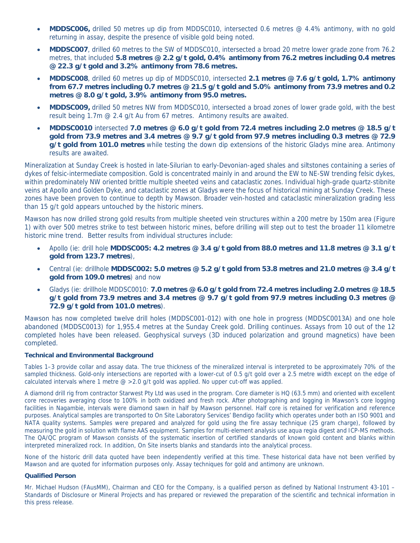- **MDDSC006,** drilled 50 metres up dip from MDDSC010, intersected 0.6 metres @ 4.4% antimony, with no gold returning in assay, despite the presence of visible gold being noted.
- **MDDSC007**, drilled 60 metres to the SW of MDDSC010, intersected a broad 20 metre lower grade zone from 76.2 metres, that included **5.8 metres @ 2.2 g/t gold, 0.4% antimony from 76.2 metres including 0.4 metres @ 22.3 g/t gold and 3.2% antimony from 78.6 metres.**
- **MDDSC008**, drilled 60 metres up dip of MDDSC010, intersected **2.1 metres @ 7.6 g/t gold, 1.7% antimony from 67.7 metres including 0.7 metres @ 21.5 g/t gold and 5.0% antimony from 73.9 metres and 0.2 metres @ 8.0 g/t gold, 3.9% antimony from 95.0 metres.**
- **MDDSC009,** drilled 50 metres NW from MDDSC010, intersected a broad zones of lower grade gold, with the best result being 1.7m @ 2.4 g/t Au from 67 metres. Antimony results are awaited.
- **MDDSC0010** intersected **7.0 metres @ 6.0 g/t gold from 72.4 metres including 2.0 metres @ 18.5 g/t gold from 73.9 metres and 3.4 metres @ 9.7 g/t gold from 97.9 metres including 0.3 metres @ 72.9 g/t gold from 101.0 metres** while testing the down dip extensions of the historic Gladys mine area. Antimony results are awaited.

Mineralization at Sunday Creek is hosted in late-Silurian to early-Devonian-aged shales and siltstones containing a series of dykes of felsic-intermediate composition. Gold is concentrated mainly in and around the EW to NE-SW trending felsic dykes, within predominately NW oriented brittle multiple sheeted veins and cataclastic zones. Individual high-grade quartz-stibnite veins at Apollo and Golden Dyke, and cataclastic zones at Gladys were the focus of historical mining at Sunday Creek. These zones have been proven to continue to depth by Mawson. Broader vein-hosted and cataclastic mineralization grading less than 15 g/t gold appears untouched by the historic miners.

Mawson has now drilled strong gold results from multiple sheeted vein structures within a 200 metre by 150m area (Figure 1) with over 500 metres strike to test between historic mines, before drilling will step out to test the broader 11 kilometre historic mine trend. Better results from individual structures include:

- Apollo (ie: drill hole **MDDSC005: 4.2 metres @ 3.4 g/t gold from 88.0 metres and 11.8 metres @ 3.1 g/t gold from 123.7 metres**),
- Central (ie: drillhole **MDDSC002: 5.0 metres @ 5.2 g/t gold from 53.8 metres and 21.0 metres @ 3.4 g/t gold from 109.0 metres**) and now
- Gladys (ie: drillhole MDDSC0010: **7.0 metres @ 6.0 g/t gold from 72.4 metres including 2.0 metres @ 18.5 g/t gold from 73.9 metres and 3.4 metres @ 9.7 g/t gold from 97.9 metres including 0.3 metres @ 72.9 g/t gold from 101.0 metres**).

Mawson has now completed twelve drill holes (MDDSC001-012) with one hole in progress (MDDSC0013A) and one hole abandoned (MDDSC0013) for 1,955.4 metres at the Sunday Creek gold. Drilling continues. Assays from 10 out of the 12 completed holes have been released. Geophysical surveys (3D induced polarization and ground magnetics) have been completed.

#### **Technical and Environmental Background**

Tables 1–3 provide collar and assay data. The true thickness of the mineralized interval is interpreted to be approximately 70% of the sampled thickness. Gold-only intersections are reported with a lower-cut of 0.5 g/t gold over a 2.5 metre width except on the edge of calculated intervals where 1 metre  $\mathcal{Q}$  > 2.0 g/t gold was applied. No upper cut-off was applied.

A diamond drill rig from contractor Starwest Pty Ltd was used in the program. Core diameter is HQ (63.5 mm) and oriented with excellent core recoveries averaging close to 100% in both oxidized and fresh rock. After photographing and logging in Mawson's core logging facilities in Nagambie, intervals were diamond sawn in half by Mawson personnel. Half core is retained for verification and reference purposes. Analytical samples are transported to On Site Laboratory Services' Bendigo facility which operates under both an ISO 9001 and NATA quality systems. Samples were prepared and analyzed for gold using the fire assay technique (25 gram charge), followed by measuring the gold in solution with flame AAS equipment. Samples for multi-element analysis use aqua regia digest and ICP-MS methods. The QA/QC program of Mawson consists of the systematic insertion of certified standards of known gold content and blanks within interpreted mineralized rock. In addition, On Site inserts blanks and standards into the analytical process.

None of the historic drill data quoted have been independently verified at this time. These historical data have not been verified by Mawson and are quoted for information purposes only. Assay techniques for gold and antimony are unknown.

#### **Qualified Person**

Mr. Michael Hudson (FAusMM), Chairman and CEO for the Company, is a qualified person as defined by National Instrument 43-101 – Standards of Disclosure or Mineral Projects and has prepared or reviewed the preparation of the scientific and technical information in this press release.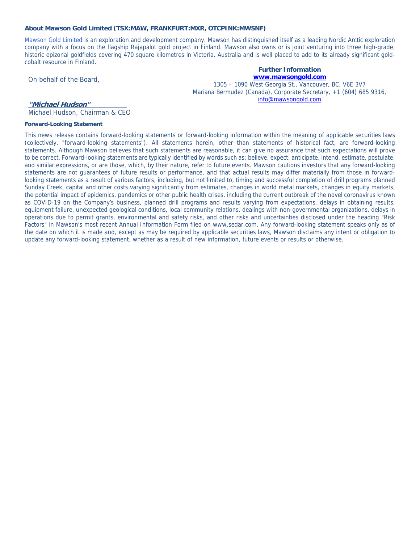#### **About Mawson Gold Limited (TSX:MAW, FRANKFURT:MXR, OTCPINK:MWSNF)**

Mawson Gold Limited is an exploration and development company. Mawson has distinguished itself as a leading Nordic Arctic exploration company with a focus on the flagship Rajapalot gold project in Finland. Mawson also owns or is joint venturing into three high-grade, historic epizonal goldfields covering 470 square kilometres in Victoria, Australia and is well placed to add to its already significant goldcobalt resource in Finland.

On behalf of the Board,

#### **Further Information www.mawsongold.com**

1305 – 1090 West Georgia St., Vancouver, BC, V6E 3V7 Mariana Bermudez (Canada), Corporate Secretary, +1 (604) 685 9316, info@mawsongold.com

#### **"Michael Hudson"**

Michael Hudson, Chairman & CEO

#### **Forward-Looking Statement**

This news release contains forward-looking statements or forward-looking information within the meaning of applicable securities laws (collectively, "forward-looking statements"). All statements herein, other than statements of historical fact, are forward-looking statements. Although Mawson believes that such statements are reasonable, it can give no assurance that such expectations will prove to be correct. Forward-looking statements are typically identified by words such as: believe, expect, anticipate, intend, estimate, postulate, and similar expressions, or are those, which, by their nature, refer to future events. Mawson cautions investors that any forward-looking statements are not guarantees of future results or performance, and that actual results may differ materially from those in forwardlooking statements as a result of various factors, including, but not limited to, timing and successful completion of drill programs planned Sunday Creek, capital and other costs varying significantly from estimates, changes in world metal markets, changes in equity markets, the potential impact of epidemics, pandemics or other public health crises, including the current outbreak of the novel coronavirus known as COVID-19 on the Company's business, planned drill programs and results varying from expectations, delays in obtaining results, equipment failure, unexpected geological conditions, local community relations, dealings with non-governmental organizations, delays in operations due to permit grants, environmental and safety risks, and other risks and uncertainties disclosed under the heading "Risk Factors" in Mawson's most recent Annual Information Form filed on www.sedar.com. Any forward-looking statement speaks only as of the date on which it is made and, except as may be required by applicable securities laws, Mawson disclaims any intent or obligation to update any forward-looking statement, whether as a result of new information, future events or results or otherwise.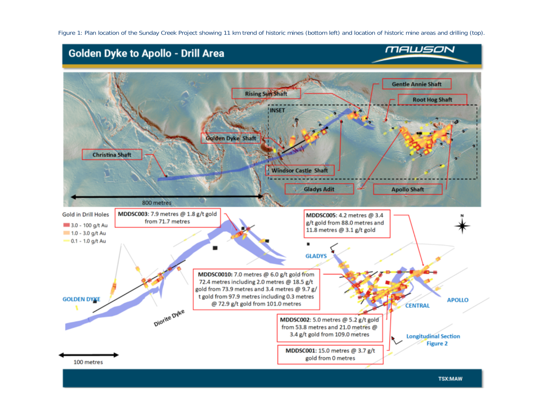Figure 1: Plan location of the Sunday Creek Project showing 11 km trend of historic mines (bottom left) and location of historic mine areas and drilling (top).



**TSX:MAW**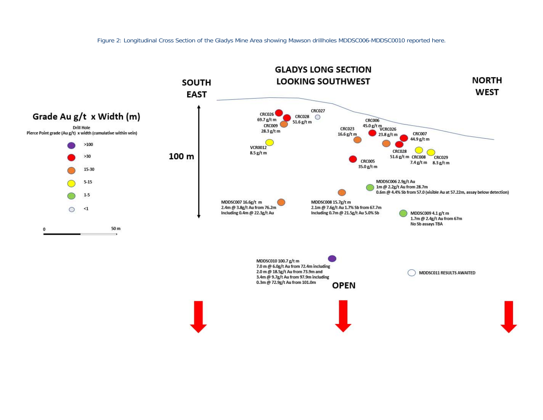Figure 2: Longitudinal Cross Section of the Gladys Mine Area showing Mawson drillholes MDDSC006-MDDSC0010 reported here.

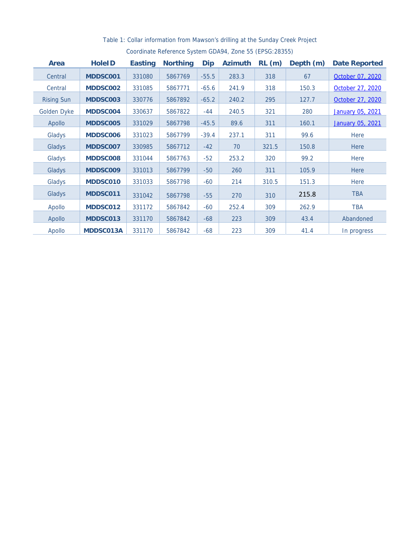| Area               | <b>HoleID</b>   | <b>Easting</b> | <b>Northing</b> | <b>Dip</b> | <b>Azimuth</b> | RL(m) | Depth (m) | <b>Date Reported</b> |
|--------------------|-----------------|----------------|-----------------|------------|----------------|-------|-----------|----------------------|
| Central            | MDDSC001        | 331080         | 5867769         | $-55.5$    | 283.3          | 318   | 67        | October 07, 2020     |
| Central            | MDDSC002        | 331085         | 5867771         | $-65.6$    | 241.9          | 318   | 150.3     | October 27, 2020     |
| <b>Rising Sun</b>  | MDDSC003        | 330776         | 5867892         | $-65.2$    | 240.2          | 295   | 127.7     | October 27, 2020     |
| <b>Golden Dyke</b> | MDDSC004        | 330637         | 5867822         | $-44$      | 240.5          | 321   | 280       | January 05, 2021     |
| Apollo             | MDDSC005        | 331029         | 5867798         | $-45.5$    | 89.6           | 311   | 160.1     | January 05, 2021     |
| Gladys             | MDDSC006        | 331023         | 5867799         | $-39.4$    | 237.1          | 311   | 99.6      | Here                 |
| Gladys             | MDDSC007        | 330985         | 5867712         | $-42$      | 70             | 321.5 | 150.8     | Here                 |
| Gladys             | <b>MDDSC008</b> | 331044         | 5867763         | $-52$      | 253.2          | 320   | 99.2      | Here                 |
| Gladys             | MDDSC009        | 331013         | 5867799         | $-50$      | 260            | 311   | 105.9     | <b>Here</b>          |
| Gladys             | MDDSC010        | 331033         | 5867798         | $-60$      | 214            | 310.5 | 151.3     | Here                 |
| Gladys             | MDDSC011        | 331042         | 5867798         | $-55$      | 270            | 310   | 215.8     | <b>TBA</b>           |
| Apollo             | MDDSC012        | 331172         | 5867842         | $-60$      | 252.4          | 309   | 262.9     | <b>TBA</b>           |
| Apollo             | MDDSC013        | 331170         | 5867842         | $-68$      | 223            | 309   | 43.4      | Abandoned            |
| Apollo             | MDDSC013A       | 331170         | 5867842         | $-68$      | 223            | 309   | 41.4      | In progress          |

# Table 1: Collar information from Mawson's drilling at the Sunday Creek Project Coordinate Reference System GDA94, Zone 55 (EPSG:28355)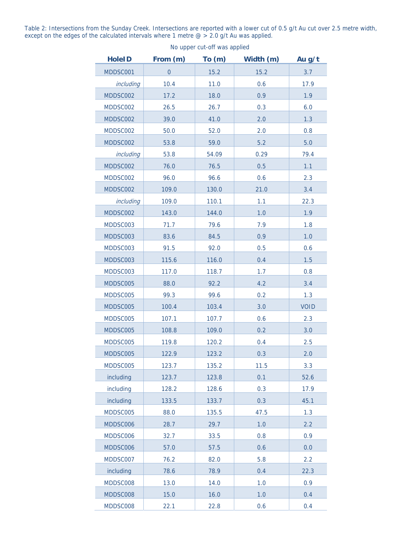Table 2: Intersections from the Sunday Creek. Intersections are reported with a lower cut of 0.5 g/t Au cut over 2.5 metre width, except on the edges of the calculated intervals where 1 metre @ > 2.0 g/t Au was applied.

| <b>HoleID</b> | From (m)         | To(m) | Width (m) | Au g/t      |
|---------------|------------------|-------|-----------|-------------|
| MDDSC001      | $\boldsymbol{0}$ | 15.2  | 15.2      | 3.7         |
| including     | 10.4             | 11.0  | 0.6       | 17.9        |
| MDDSC002      | 17.2             | 18.0  | 0.9       | 1.9         |
| MDDSC002      | 26.5             | 26.7  | 0.3       | 6.0         |
| MDDSC002      | 39.0             | 41.0  | 2.0       | 1.3         |
| MDDSC002      | 50.0             | 52.0  | 2.0       | 0.8         |
| MDDSC002      | 53.8             | 59.0  | 5.2       | 5.0         |
| including     | 53.8             | 54.09 | 0.29      | 79.4        |
| MDDSC002      | 76.0             | 76.5  | 0.5       | 1.1         |
| MDDSC002      | 96.0             | 96.6  | 0.6       | 2.3         |
| MDDSC002      | 109.0            | 130.0 | 21.0      | 3.4         |
| including     | 109.0            | 110.1 | 1.1       | 22.3        |
| MDDSC002      | 143.0            | 144.0 | 1.0       | 1.9         |
| MDDSC003      | 71.7             | 79.6  | 7.9       | 1.8         |
| MDDSC003      | 83.6             | 84.5  | 0.9       | 1.0         |
| MDDSC003      | 91.5             | 92.0  | 0.5       | 0.6         |
| MDDSC003      | 115.6            | 116.0 | 0.4       | 1.5         |
| MDDSC003      | 117.0            | 118.7 | 1.7       | 0.8         |
| MDDSC005      | 88.0             | 92.2  | 4.2       | 3.4         |
| MDDSC005      | 99.3             | 99.6  | 0.2       | 1.3         |
| MDDSC005      | 100.4            | 103.4 | 3.0       | <b>VOID</b> |
| MDDSC005      | 107.1            | 107.7 | 0.6       | 2.3         |
| MDDSC005      | 108.8            | 109.0 | 0.2       | 3.0         |
| MDDSC005      | 119.8            | 120.2 | 0.4       | 2.5         |
| MDDSC005      | 122.9            | 123.2 | 0.3       | 2.0         |
| MDDSC005      | 123.7            | 135.2 | 11.5      | 3.3         |
| including     | 123.7            | 123.8 | 0.1       | 52.6        |
| including     | 128.2            | 128.6 | 0.3       | 17.9        |
| including     | 133.5            | 133.7 | 0.3       | 45.1        |
| MDDSC005      | 88.0             | 135.5 | 47.5      | 1.3         |
| MDDSC006      | 28.7             | 29.7  | 1.0       | 2.2         |
| MDDSC006      | 32.7             | 33.5  | 0.8       | 0.9         |
| MDDSC006      | 57.0             | 57.5  | 0.6       | 0.0         |
| MDDSC007      | 76.2             | 82.0  | 5.8       | 2.2         |
| including     | 78.6             | 78.9  | 0.4       | 22.3        |
| MDDSC008      | 13.0             | 14.0  | 1.0       | 0.9         |
| MDDSC008      | 15.0             | 16.0  | 1.0       | 0.4         |
| MDDSC008      | 22.1             | 22.8  | 0.6       | 0.4         |

No upper cut-off was applied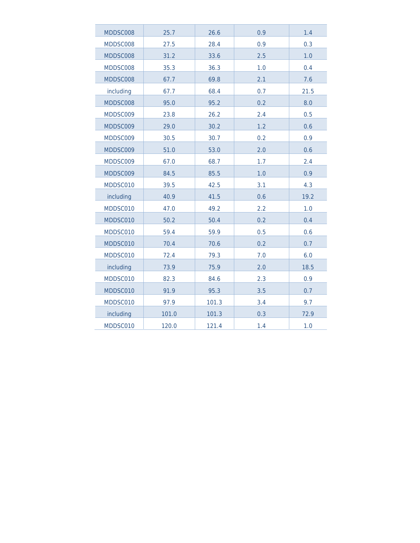| MDDSC008  | 25.7  | 26.6  | 0.9 | 1.4  |
|-----------|-------|-------|-----|------|
| MDDSC008  | 27.5  | 28.4  | 0.9 | 0.3  |
| MDDSC008  | 31.2  | 33.6  | 2.5 | 1.0  |
| MDDSC008  | 35.3  | 36.3  | 1.0 | 0.4  |
| MDDSC008  | 67.7  | 69.8  | 2.1 | 7.6  |
| including | 67.7  | 68.4  | 0.7 | 21.5 |
| MDDSC008  | 95.0  | 95.2  | 0.2 | 8.0  |
| MDDSC009  | 23.8  | 26.2  | 2.4 | 0.5  |
| MDDSC009  | 29.0  | 30.2  | 1.2 | 0.6  |
| MDDSC009  | 30.5  | 30.7  | 0.2 | 0.9  |
| MDDSC009  | 51.0  | 53.0  | 2.0 | 0.6  |
| MDDSC009  | 67.0  | 68.7  | 1.7 | 2.4  |
| MDDSC009  | 84.5  | 85.5  | 1.0 | 0.9  |
| MDDSC010  | 39.5  | 42.5  | 3.1 | 4.3  |
| including | 40.9  | 41.5  | 0.6 | 19.2 |
| MDDSC010  | 47.0  | 49.2  | 2.2 | 1.0  |
| MDDSC010  | 50.2  | 50.4  | 0.2 | 0.4  |
| MDDSC010  | 59.4  | 59.9  | 0.5 | 0.6  |
| MDDSC010  | 70.4  | 70.6  | 0.2 | 0.7  |
| MDDSC010  | 72.4  | 79.3  | 7.0 | 6.0  |
| including | 73.9  | 75.9  | 2.0 | 18.5 |
| MDDSC010  | 82.3  | 84.6  | 2.3 | 0.9  |
| MDDSC010  | 91.9  | 95.3  | 3.5 | 0.7  |
| MDDSC010  | 97.9  | 101.3 | 3.4 | 9.7  |
| including | 101.0 | 101.3 | 0.3 | 72.9 |
| MDDSC010  | 120.0 | 121.4 | 1.4 | 1.0  |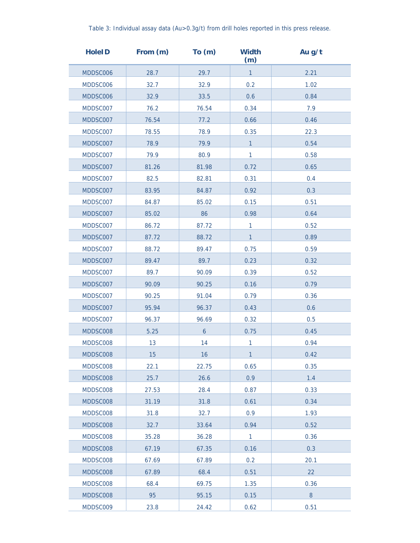| <b>HoleID</b> | From (m) | To(m) | <b>Width</b><br>(m) | Au g/t |
|---------------|----------|-------|---------------------|--------|
| MDDSC006      | 28.7     | 29.7  | $\mathbf{1}$        | 2.21   |
| MDDSC006      | 32.7     | 32.9  | 0.2                 | 1.02   |
| MDDSC006      | 32.9     | 33.5  | 0.6                 | 0.84   |
| MDDSC007      | 76.2     | 76.54 | 0.34                | 7.9    |
| MDDSC007      | 76.54    | 77.2  | 0.66                | 0.46   |
| MDDSC007      | 78.55    | 78.9  | 0.35                | 22.3   |
| MDDSC007      | 78.9     | 79.9  | 1                   | 0.54   |
| MDDSC007      | 79.9     | 80.9  | 1                   | 0.58   |
| MDDSC007      | 81.26    | 81.98 | 0.72                | 0.65   |
| MDDSC007      | 82.5     | 82.81 | 0.31                | 0.4    |
| MDDSC007      | 83.95    | 84.87 | 0.92                | 0.3    |
| MDDSC007      | 84.87    | 85.02 | 0.15                | 0.51   |
| MDDSC007      | 85.02    | 86    | 0.98                | 0.64   |
| MDDSC007      | 86.72    | 87.72 | 1                   | 0.52   |
| MDDSC007      | 87.72    | 88.72 | 1                   | 0.89   |
| MDDSC007      | 88.72    | 89.47 | 0.75                | 0.59   |
| MDDSC007      | 89.47    | 89.7  | 0.23                | 0.32   |
| MDDSC007      | 89.7     | 90.09 | 0.39                | 0.52   |
| MDDSC007      | 90.09    | 90.25 | 0.16                | 0.79   |
| MDDSC007      | 90.25    | 91.04 | 0.79                | 0.36   |
| MDDSC007      | 95.94    | 96.37 | 0.43                | 0.6    |
| MDDSC007      | 96.37    | 96.69 | 0.32                | 0.5    |
| MDDSC008      | 5.25     | 6     | 0.75                | 0.45   |
| MDDSC008      | 13       | 14    | 1                   | 0.94   |
| MDDSC008      | 15       | 16    | $\mathbf{1}$        | 0.42   |
| MDDSC008      | 22.1     | 22.75 | 0.65                | 0.35   |
| MDDSC008      | 25.7     | 26.6  | 0.9                 | 1.4    |
| MDDSC008      | 27.53    | 28.4  | 0.87                | 0.33   |
| MDDSC008      | 31.19    | 31.8  | 0.61                | 0.34   |
| MDDSC008      | 31.8     | 32.7  | 0.9                 | 1.93   |
| MDDSC008      | 32.7     | 33.64 | 0.94                | 0.52   |
| MDDSC008      | 35.28    | 36.28 | $\mathbf{1}$        | 0.36   |
| MDDSC008      | 67.19    | 67.35 | 0.16                | 0.3    |
| MDDSC008      | 67.69    | 67.89 | 0.2                 | 20.1   |
| MDDSC008      | 67.89    | 68.4  | 0.51                | 22     |
| MDDSC008      | 68.4     | 69.75 | 1.35                | 0.36   |
| MDDSC008      | 95       | 95.15 | 0.15                | $\, 8$ |
| MDDSC009      | 23.8     | 24.42 | 0.62                | 0.51   |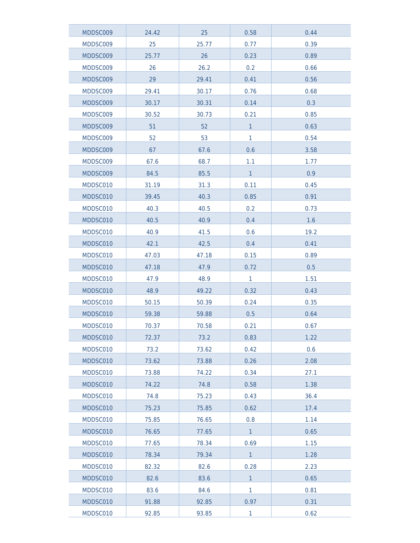| MDDSC009 | 24.42 | 25    | 0.58         | 0.44 |
|----------|-------|-------|--------------|------|
| MDDSC009 | 25    | 25.77 | 0.77         | 0.39 |
| MDDSC009 | 25.77 | 26    | 0.23         | 0.89 |
| MDDSC009 | 26    | 26.2  | 0.2          | 0.66 |
| MDDSC009 | 29    | 29.41 | 0.41         | 0.56 |
| MDDSC009 | 29.41 | 30.17 | 0.76         | 0.68 |
| MDDSC009 | 30.17 | 30.31 | 0.14         | 0.3  |
| MDDSC009 | 30.52 | 30.73 | 0.21         | 0.85 |
| MDDSC009 | 51    | 52    | 1            | 0.63 |
| MDDSC009 | 52    | 53    | 1            | 0.54 |
| MDDSC009 | 67    | 67.6  | 0.6          | 3.58 |
| MDDSC009 | 67.6  | 68.7  | 1.1          | 1.77 |
| MDDSC009 | 84.5  | 85.5  | $\mathbf{1}$ | 0.9  |
| MDDSC010 | 31.19 | 31.3  | 0.11         | 0.45 |
| MDDSC010 | 39.45 | 40.3  | 0.85         | 0.91 |
| MDDSC010 | 40.3  | 40.5  | 0.2          | 0.73 |
| MDDSC010 | 40.5  | 40.9  | 0.4          | 1.6  |
| MDDSC010 | 40.9  | 41.5  | 0.6          | 19.2 |
| MDDSC010 | 42.1  | 42.5  | 0.4          | 0.41 |
| MDDSC010 | 47.03 | 47.18 | 0.15         | 0.89 |
| MDDSC010 | 47.18 | 47.9  | 0.72         | 0.5  |
| MDDSC010 | 47.9  | 48.9  | 1            | 1.51 |
| MDDSC010 | 48.9  | 49.22 | 0.32         | 0.43 |
| MDDSC010 | 50.15 | 50.39 | 0.24         | 0.35 |
| MDDSC010 | 59.38 | 59.88 | 0.5          | 0.64 |
| MDDSC010 | 70.37 | 70.58 | 0.21         | 0.67 |
| MDDSC010 | 72.37 | 73.2  | 0.83         | 1.22 |
| MDDSC010 | 73.2  | 73.62 | 0.42         | 0.6  |
| MDDSC010 | 73.62 | 73.88 | 0.26         | 2.08 |
| MDDSC010 | 73.88 | 74.22 | 0.34         | 27.1 |
| MDDSC010 | 74.22 | 74.8  | 0.58         | 1.38 |
| MDDSC010 | 74.8  | 75.23 | 0.43         | 36.4 |
| MDDSC010 | 75.23 | 75.85 | 0.62         | 17.4 |
| MDDSC010 | 75.85 | 76.65 | 0.8          | 1.14 |
| MDDSC010 | 76.65 | 77.65 | $\mathbf{1}$ | 0.65 |
| MDDSC010 | 77.65 | 78.34 | 0.69         | 1.15 |
| MDDSC010 | 78.34 | 79.34 | $\mathbf{1}$ | 1.28 |
| MDDSC010 | 82.32 | 82.6  | 0.28         | 2.23 |
| MDDSC010 | 82.6  | 83.6  | 1            | 0.65 |
| MDDSC010 | 83.6  | 84.6  | $\mathbf{1}$ | 0.81 |
| MDDSC010 | 91.88 | 92.85 | 0.97         | 0.31 |
| MDDSC010 | 92.85 | 93.85 | $\mathbf{1}$ | 0.62 |